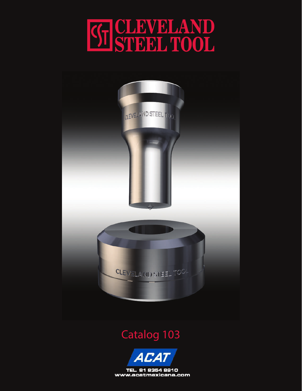



### Catalog 103



TEL. 81 8354 8910 www.acatmexicana.com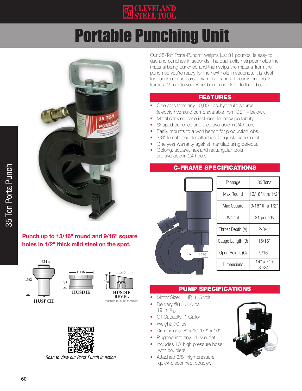

## Portable Punching Unit



#### Punch up to 13/16" round and 9/16" square holes in 1/2" thick mild steel on the spot.





1.336

**HUSDIE BEVEL**



*Scan to view our Porta Punch in action.*

Our 35-Ton Porta-Punch™ weighs just 31 pounds, is easy to use and punches in seconds.The dual-action stripper holds the material being punched and then strips the material from the punch so you're ready for the next hole in seconds. It is ideal for punching bus bars, tower iron, railing, I-beams and truck frames. Mount to your work bench or take it to the job site.

#### FEATURES

- Operates from any 10,000 psi hydraulic source (electric hydraulic pump available from CST – below).
- Metal carrying case included for easy portability.
- Shaped punches and dies available in 24 hours.
- Easily mounts to a workbench for production jobs.
- 3/8" female coupler attached for quick disconnect.
- One year warranty against manufacturing defects.
- Oblong, square, hex and rectangular tools are available in 24 hours.

#### C-FRAME SPECIFICATIONS



| Tonnage          | 35 Tons                      |  |
|------------------|------------------------------|--|
| Max Round        | 13/16" thru 1/2"             |  |
| Max Square       | 9/16" thru 1/2"              |  |
| Weight           | 31 pounds                    |  |
| Throat Depth (A) | $2 - 3/4"$                   |  |
| Gauge Length (B) | 15/16"                       |  |
| Open Height (C)  | 9/16"                        |  |
| Dimensions       | $14"$ x $7"$ x<br>$3 - 3/4'$ |  |

#### PUMP SPECIFICATIONS

- Motor Size: 1 HP, 115 volt
- Delivery @10,000 psi: 19 In.  $\frac{3}{M}$
- Oil Capacity: 1 Gallon
- Weight: 70 lbs.
- Dimensions: 8" x 10-1/2" x 16"
- Plugged into any 110 v outlet.
- Includes 10' high pressure hose with couplers.
- Attached 3/8" high pressure quick-disconnect coupler.